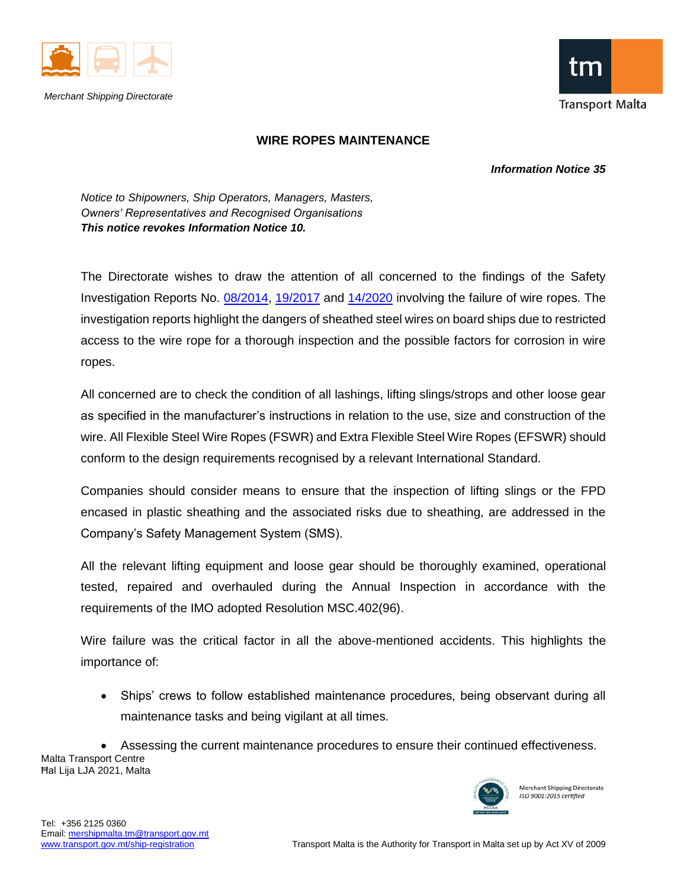

*Merchant Shipping Directorate*



## **WIRE ROPES MAINTENANCE**

 *Information Notice 35*

*Notice to Shipowners, Ship Operators, Managers, Masters, Owners' Representatives and Recognised Organisations This notice revokes Information Notice 10.* 

The Directorate wishes to draw the attention of all concerned to the findings of the Safety Investigation Reports No. [08/2014,](https://www.transport.gov.mt/MV-Celebrity-Century-Final-Inv-Report.pdf-f5213) [19/2017](https://www.transport.gov.mt/MV-Sydney-Trader_Final-Safety-Investigation-Report.pdf-f5203) and [14/2020](https://www.transport.gov.mt/MV-Leopold-Staff_Final-Safety-Investigation-Report.pdf-f5202) involving the failure of wire ropes. The investigation reports highlight the dangers of sheathed steel wires on board ships due to restricted access to the wire rope for a thorough inspection and the possible factors for corrosion in wire ropes.

All concerned are to check the condition of all lashings, lifting slings/strops and other loose gear as specified in the manufacturer's instructions in relation to the use, size and construction of the wire. All Flexible Steel Wire Ropes (FSWR) and Extra Flexible Steel Wire Ropes (EFSWR) should conform to the design requirements recognised by a relevant International Standard.

Companies should consider means to ensure that the inspection of lifting slings or the FPD encased in plastic sheathing and the associated risks due to sheathing, are addressed in the Company's Safety Management System (SMS).

All the relevant lifting equipment and loose gear should be thoroughly examined, operational tested, repaired and overhauled during the Annual Inspection in accordance with the requirements of the IMO adopted Resolution MSC.402(96).

Wire failure was the critical factor in all the above-mentioned accidents. This highlights the importance of:

• Ships' crews to follow established maintenance procedures, being observant during all maintenance tasks and being vigilant at all times.

Malta Transport Centre Ħal Lija LJA 2021, Malta • Assessing the current maintenance procedures to ensure their continued effectiveness.



Merchant Shipping Directorate ISO 9001:2015 certified